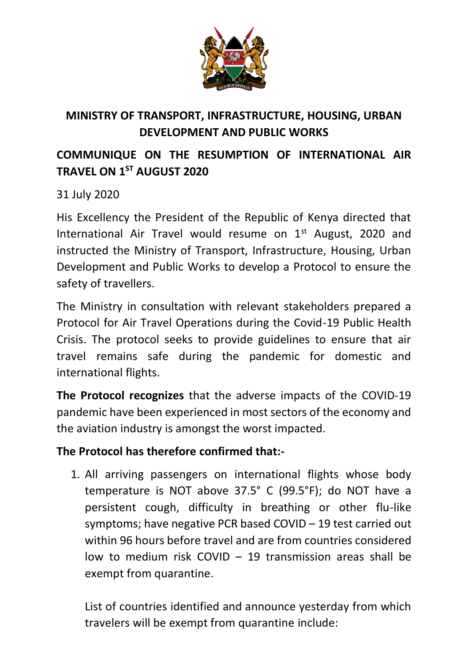

## **MINISTRY OF TRANSPORT, INFRASTRUCTURE, HOUSING, URBAN DEVELOPMENT AND PUBLIC WORKS**

## **COMMUNIQUE ON THE RESUMPTION OF INTERNATIONAL AIR TRAVEL ON 1ST AUGUST 2020**

31 July 2020

His Excellency the President of the Republic of Kenya directed that International Air Travel would resume on  $1<sup>st</sup>$  August, 2020 and instructed the Ministry of Transport, Infrastructure, Housing, Urban Development and Public Works to develop a Protocol to ensure the safety of travellers.

The Ministry in consultation with relevant stakeholders prepared a Protocol for Air Travel Operations during the Covid-19 Public Health Crisis. The protocol seeks to provide guidelines to ensure that air travel remains safe during the pandemic for domestic and international flights.

**The Protocol recognizes** that the adverse impacts of the COVID-19 pandemic have been experienced in most sectors of the economy and the aviation industry is amongst the worst impacted.

## **The Protocol has therefore confirmed that:-**

1. All arriving passengers on international flights whose body temperature is NOT above 37.5° C (99.5°F); do NOT have a persistent cough, difficulty in breathing or other flu-like symptoms; have negative PCR based COVID – 19 test carried out within 96 hours before travel and are from countries considered low to medium risk COVID – 19 transmission areas shall be exempt from quarantine.

List of countries identified and announce yesterday from which travelers will be exempt from quarantine include: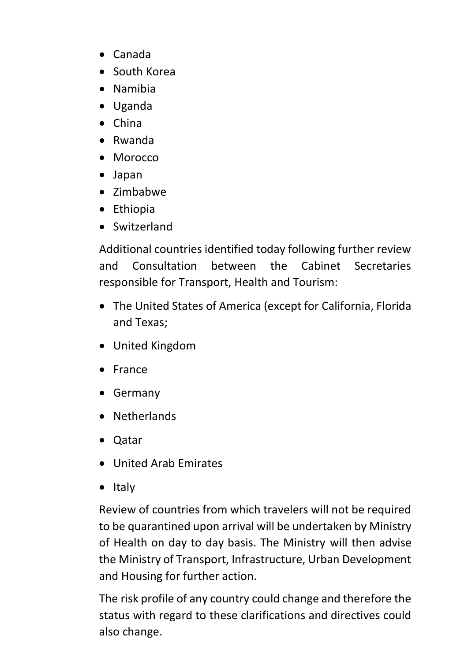- Canada
- South Korea
- Namibia
- Uganda
- China
- Rwanda
- Morocco
- Japan
- Zimbabwe
- Ethiopia
- Switzerland

Additional countries identified today following further review and Consultation between the Cabinet Secretaries responsible for Transport, Health and Tourism:

- The United States of America (except for California, Florida and Texas;
- United Kingdom
- France
- Germany
- Netherlands
- Qatar
- United Arab Emirates
- Italy

Review of countries from which travelers will not be required to be quarantined upon arrival will be undertaken by Ministry of Health on day to day basis. The Ministry will then advise the Ministry of Transport, Infrastructure, Urban Development and Housing for further action.

The risk profile of any country could change and therefore the status with regard to these clarifications and directives could also change.